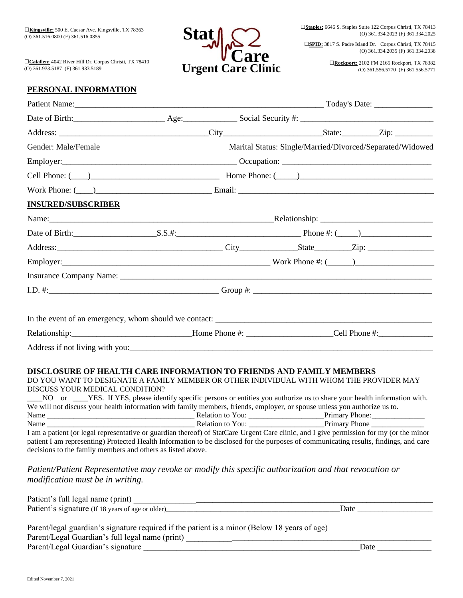□**Calallen:** 4042 River Hill Dr. Corpus Christi, TX 78410 (O) 361.933.5187 (F) 361.933.5189



□**SPID:** 3817 S. Padre Island Dr. Corpus Christi, TX 78415 (O) 361.334.2035 (F) 361.334.2038

> □**Rockport:** 2102 FM 2165 Rockport, TX 78382 (O) 361.556.5770 (F) 361.556.5771

# **PERSONAL INFORMATION**

| Gender: Male/Female                                                                                                                                                                                                                                                                                                                                                                                                                                                                                                                                                                                                                                                                                                                                                                                                     |                                                                                               |  |                                                                                                                       | Marital Status: Single/Married/Divorced/Separated/Widowed |  |
|-------------------------------------------------------------------------------------------------------------------------------------------------------------------------------------------------------------------------------------------------------------------------------------------------------------------------------------------------------------------------------------------------------------------------------------------------------------------------------------------------------------------------------------------------------------------------------------------------------------------------------------------------------------------------------------------------------------------------------------------------------------------------------------------------------------------------|-----------------------------------------------------------------------------------------------|--|-----------------------------------------------------------------------------------------------------------------------|-----------------------------------------------------------|--|
|                                                                                                                                                                                                                                                                                                                                                                                                                                                                                                                                                                                                                                                                                                                                                                                                                         |                                                                                               |  |                                                                                                                       |                                                           |  |
|                                                                                                                                                                                                                                                                                                                                                                                                                                                                                                                                                                                                                                                                                                                                                                                                                         | Cell Phone: $(\_\_\_\_\_\_\$ Home Phone: $(\_\_\_\_\_\_\_\_\$ Home Phone: $(\_\_\_\_\_\_\_\_$ |  |                                                                                                                       |                                                           |  |
|                                                                                                                                                                                                                                                                                                                                                                                                                                                                                                                                                                                                                                                                                                                                                                                                                         | Work Phone: $(\_\_)$                                                                          |  |                                                                                                                       |                                                           |  |
| <b>INSURED/SUBSCRIBER</b>                                                                                                                                                                                                                                                                                                                                                                                                                                                                                                                                                                                                                                                                                                                                                                                               |                                                                                               |  |                                                                                                                       |                                                           |  |
|                                                                                                                                                                                                                                                                                                                                                                                                                                                                                                                                                                                                                                                                                                                                                                                                                         |                                                                                               |  |                                                                                                                       |                                                           |  |
|                                                                                                                                                                                                                                                                                                                                                                                                                                                                                                                                                                                                                                                                                                                                                                                                                         |                                                                                               |  |                                                                                                                       |                                                           |  |
|                                                                                                                                                                                                                                                                                                                                                                                                                                                                                                                                                                                                                                                                                                                                                                                                                         |                                                                                               |  |                                                                                                                       |                                                           |  |
|                                                                                                                                                                                                                                                                                                                                                                                                                                                                                                                                                                                                                                                                                                                                                                                                                         |                                                                                               |  |                                                                                                                       |                                                           |  |
|                                                                                                                                                                                                                                                                                                                                                                                                                                                                                                                                                                                                                                                                                                                                                                                                                         |                                                                                               |  |                                                                                                                       |                                                           |  |
|                                                                                                                                                                                                                                                                                                                                                                                                                                                                                                                                                                                                                                                                                                                                                                                                                         |                                                                                               |  |                                                                                                                       |                                                           |  |
| Relationship: __________________________________Home Phone #: _______________________Cell Phone #:                                                                                                                                                                                                                                                                                                                                                                                                                                                                                                                                                                                                                                                                                                                      |                                                                                               |  |                                                                                                                       |                                                           |  |
| <b>DISCLOSURE OF HEALTH CARE INFORMATION TO FRIENDS AND FAMILY MEMBERS</b><br>DO YOU WANT TO DESIGNATE A FAMILY MEMBER OR OTHER INDIVIDUAL WITH WHOM THE PROVIDER MAY<br>DISCUSS YOUR MEDICAL CONDITION?<br>NO or ____YES. If YES, please identify specific persons or entities you authorize us to share your health information with.<br>We will not discuss your health information with family members, friends, employer, or spouse unless you authorize us to.<br>I am a patient (or legal representative or guardian thereof) of StatCare Urgent Care clinic, and I give permission for my (or the minor<br>patient I am representing) Protected Health Information to be disclosed for the purposes of communicating results, findings, and care<br>decisions to the family members and others as listed above. |                                                                                               |  |                                                                                                                       |                                                           |  |
| Patient/Patient Representative may revoke or modify this specific authorization and that revocation or<br>modification must be in writing.                                                                                                                                                                                                                                                                                                                                                                                                                                                                                                                                                                                                                                                                              |                                                                                               |  |                                                                                                                       |                                                           |  |
| Patient's full legal name (print) $\frac{1}{\sqrt{2\pi}}$                                                                                                                                                                                                                                                                                                                                                                                                                                                                                                                                                                                                                                                                                                                                                               |                                                                                               |  |                                                                                                                       |                                                           |  |
| Parent/legal guardian's signature required if the patient is a minor (Below 18 years of age)<br>Parent/Legal Guardian's full legal name (print)                                                                                                                                                                                                                                                                                                                                                                                                                                                                                                                                                                                                                                                                         |                                                                                               |  | <u> 1980 - Jan James Alemania, martin amerikan basar dan berasal dalam pengaran berasal dalam pengaran berasal da</u> |                                                           |  |

Parent/Legal Guardian's signature \_\_\_\_\_\_\_\_\_\_\_\_\_\_\_\_\_\_\_\_\_\_\_\_\_\_\_\_\_\_\_\_\_\_\_\_\_\_\_\_\_\_\_\_\_\_\_\_\_\_\_\_Date \_\_\_\_\_\_\_\_\_\_\_\_\_